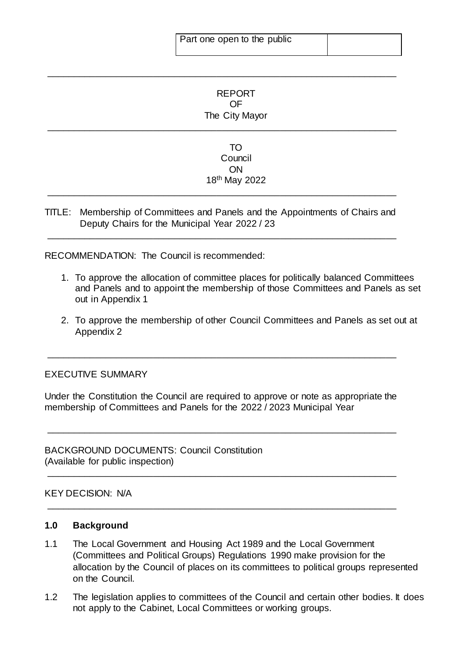# REPORT OF The City Mayor

\_\_\_\_\_\_\_\_\_\_\_\_\_\_\_\_\_\_\_\_\_\_\_\_\_\_\_\_\_\_\_\_\_\_\_\_\_\_\_\_\_\_\_\_\_\_\_\_\_\_\_\_\_\_\_\_\_\_\_\_\_\_\_\_\_\_

\_\_\_\_\_\_\_\_\_\_\_\_\_\_\_\_\_\_\_\_\_\_\_\_\_\_\_\_\_\_\_\_\_\_\_\_\_\_\_\_\_\_\_\_\_\_\_\_\_\_\_\_\_\_\_\_\_\_\_\_\_\_\_\_\_\_

## TO Council ON 18th May 2022

TITLE: Membership of Committees and Panels and the Appointments of Chairs and Deputy Chairs for the Municipal Year 2022 / 23

\_\_\_\_\_\_\_\_\_\_\_\_\_\_\_\_\_\_\_\_\_\_\_\_\_\_\_\_\_\_\_\_\_\_\_\_\_\_\_\_\_\_\_\_\_\_\_\_\_\_\_\_\_\_\_\_\_\_\_\_\_\_\_\_\_\_

\_\_\_\_\_\_\_\_\_\_\_\_\_\_\_\_\_\_\_\_\_\_\_\_\_\_\_\_\_\_\_\_\_\_\_\_\_\_\_\_\_\_\_\_\_\_\_\_\_\_\_\_\_\_\_\_\_\_\_\_\_\_\_\_\_\_

RECOMMENDATION: The Council is recommended:

- 1. To approve the allocation of committee places for politically balanced Committees and Panels and to appoint the membership of those Committees and Panels as set out in Appendix 1
- 2. To approve the membership of other Council Committees and Panels as set out at Appendix 2

## EXECUTIVE SUMMARY

Under the Constitution the Council are required to approve or note as appropriate the membership of Committees and Panels for the 2022 / 2023 Municipal Year

\_\_\_\_\_\_\_\_\_\_\_\_\_\_\_\_\_\_\_\_\_\_\_\_\_\_\_\_\_\_\_\_\_\_\_\_\_\_\_\_\_\_\_\_\_\_\_\_\_\_\_\_\_\_\_\_\_\_\_\_\_\_\_\_\_\_

\_\_\_\_\_\_\_\_\_\_\_\_\_\_\_\_\_\_\_\_\_\_\_\_\_\_\_\_\_\_\_\_\_\_\_\_\_\_\_\_\_\_\_\_\_\_\_\_\_\_\_\_\_\_\_\_\_\_\_\_\_\_\_\_\_\_

\_\_\_\_\_\_\_\_\_\_\_\_\_\_\_\_\_\_\_\_\_\_\_\_\_\_\_\_\_\_\_\_\_\_\_\_\_\_\_\_\_\_\_\_\_\_\_\_\_\_\_\_\_\_\_\_\_\_\_\_\_\_\_\_\_\_

\_\_\_\_\_\_\_\_\_\_\_\_\_\_\_\_\_\_\_\_\_\_\_\_\_\_\_\_\_\_\_\_\_\_\_\_\_\_\_\_\_\_\_\_\_\_\_\_\_\_\_\_\_\_\_\_\_\_\_\_\_\_\_\_\_\_

BACKGROUND DOCUMENTS: Council Constitution (Available for public inspection)

#### KEY DECISION: N/A

#### **1.0 Background**

- 1.1 The Local Government and Housing Act 1989 and the Local Government (Committees and Political Groups) Regulations 1990 make provision for the allocation by the Council of places on its committees to political groups represented on the Council.
- 1.2 The legislation applies to committees of the Council and certain other bodies. It does not apply to the Cabinet, Local Committees or working groups.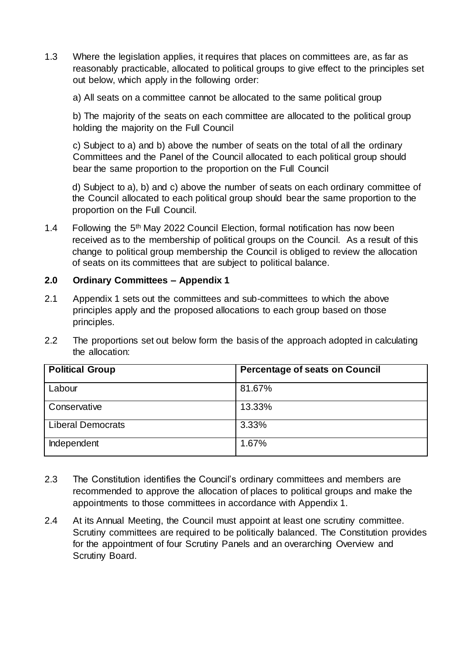1.3 Where the legislation applies, it requires that places on committees are, as far as reasonably practicable, allocated to political groups to give effect to the principles set out below, which apply in the following order:

a) All seats on a committee cannot be allocated to the same political group

b) The majority of the seats on each committee are allocated to the political group holding the majority on the Full Council

c) Subject to a) and b) above the number of seats on the total of all the ordinary Committees and the Panel of the Council allocated to each political group should bear the same proportion to the proportion on the Full Council

d) Subject to a), b) and c) above the number of seats on each ordinary committee of the Council allocated to each political group should bear the same proportion to the proportion on the Full Council.

1.4 Following the 5<sup>th</sup> May 2022 Council Election, formal notification has now been received as to the membership of political groups on the Council. As a result of this change to political group membership the Council is obliged to review the allocation of seats on its committees that are subject to political balance.

## **2.0 Ordinary Committees – Appendix 1**

- 2.1 Appendix 1 sets out the committees and sub-committees to which the above principles apply and the proposed allocations to each group based on those principles.
- 2.2 The proportions set out below form the basis of the approach adopted in calculating the allocation:

| <b>Political Group</b>   | <b>Percentage of seats on Council</b> |
|--------------------------|---------------------------------------|
| Labour                   | 81.67%                                |
| Conservative             | 13.33%                                |
| <b>Liberal Democrats</b> | 3.33%                                 |
| Independent              | 1.67%                                 |

- 2.3 The Constitution identifies the Council's ordinary committees and members are recommended to approve the allocation of places to political groups and make the appointments to those committees in accordance with Appendix 1.
- 2.4 At its Annual Meeting, the Council must appoint at least one scrutiny committee. Scrutiny committees are required to be politically balanced. The Constitution provides for the appointment of four Scrutiny Panels and an overarching Overview and Scrutiny Board.